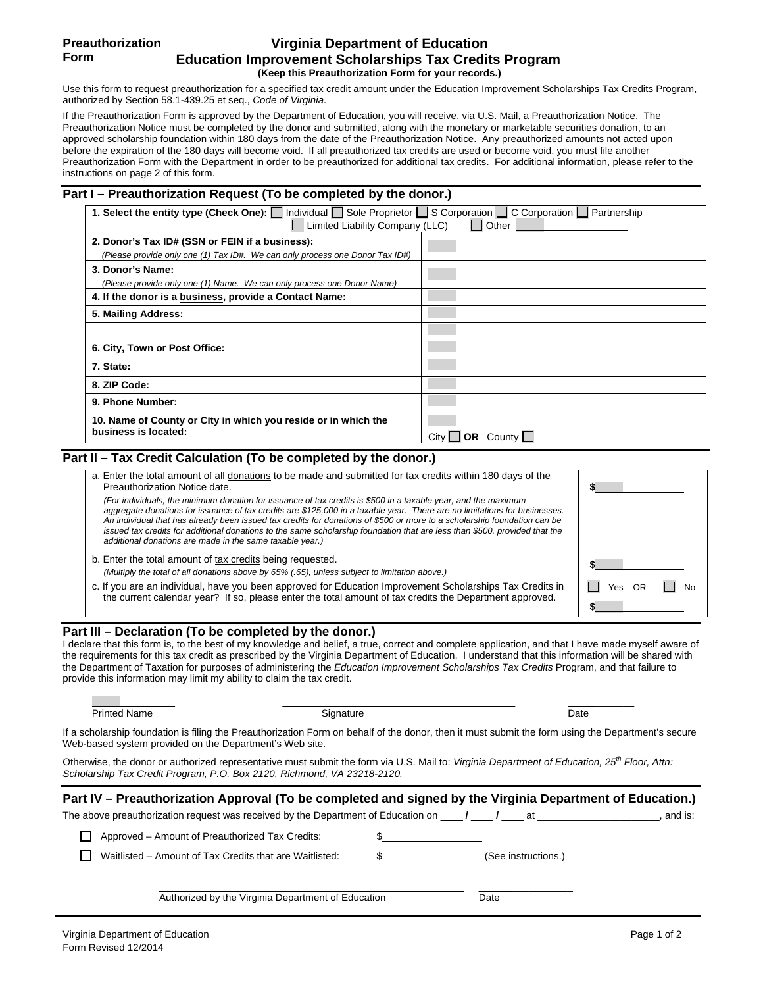# **Virginia Department of Education Education Improvement Scholarships Tax Credits Program (Keep this Preauthorization Form for your records.)**

Use this form to request preauthorization for a specified tax credit amount under the Education Improvement Scholarships Tax Credits Program, authorized by Section 58.1-439.25 et seq., *Code of Virginia*.

If the Preauthorization Form is approved by the Department of Education, you will receive, via U.S. Mail, a Preauthorization Notice. The Preauthorization Notice must be completed by the donor and submitted, along with the monetary or marketable securities donation, to an approved scholarship foundation within 180 days from the date of the Preauthorization Notice. Any preauthorized amounts not acted upon before the expiration of the 180 days will become void. If all preauthorized tax credits are used or become void, you must file another Preauthorization Form with the Department in order to be preauthorized for additional tax credits. For additional information, please refer to the instructions on page 2 of this form.

## **Part I – Preauthorization Request (To be completed by the donor.)**

| 1. Select the entity type (Check One):   Individual   Sole Proprietor   S Corporation   C Corporation   Partnership |                          |  |  |  |
|---------------------------------------------------------------------------------------------------------------------|--------------------------|--|--|--|
| Limited Liability Company (LLC)                                                                                     | Other                    |  |  |  |
| 2. Donor's Tax ID# (SSN or FEIN if a business):                                                                     |                          |  |  |  |
| (Please provide only one (1) Tax ID#. We can only process one Donor Tax ID#)                                        |                          |  |  |  |
| 3. Donor's Name:                                                                                                    |                          |  |  |  |
| (Please provide only one (1) Name. We can only process one Donor Name)                                              |                          |  |  |  |
| 4. If the donor is a business, provide a Contact Name:                                                              |                          |  |  |  |
| 5. Mailing Address:                                                                                                 |                          |  |  |  |
|                                                                                                                     |                          |  |  |  |
| 6. City, Town or Post Office:                                                                                       |                          |  |  |  |
| 7. State:                                                                                                           |                          |  |  |  |
| 8. ZIP Code:                                                                                                        |                          |  |  |  |
| 9. Phone Number:                                                                                                    |                          |  |  |  |
| 10. Name of County or City in which you reside or in which the<br>business is located:                              | <b>OR</b> County<br>Citv |  |  |  |

## **Part II – Tax Credit Calculation (To be completed by the donor.)**

| a. Enter the total amount of all donations to be made and submitted for tax credits within 180 days of the<br>Preauthorization Notice date.<br>(For individuals, the minimum donation for issuance of tax credits is \$500 in a taxable year, and the maximum<br>aggregate donations for issuance of tax credits are \$125,000 in a taxable year. There are no limitations for businesses. |           |
|--------------------------------------------------------------------------------------------------------------------------------------------------------------------------------------------------------------------------------------------------------------------------------------------------------------------------------------------------------------------------------------------|-----------|
| An individual that has already been issued tax credits for donations of \$500 or more to a scholarship foundation can be<br>issued tax credits for additional donations to the same scholarship foundation that are less than \$500, provided that the<br>additional donations are made in the same taxable year.)                                                                         |           |
| b. Enter the total amount of tax credits being requested.                                                                                                                                                                                                                                                                                                                                  |           |
| (Multiply the total of all donations above by 65% (.65), unless subject to limitation above.)                                                                                                                                                                                                                                                                                              |           |
| c. If you are an individual, have you been approved for Education Improvement Scholarships Tax Credits in<br>the current calendar year? If so, please enter the total amount of tax credits the Department approved.                                                                                                                                                                       | No<br>Yes |

## **Part III – Declaration (To be completed by the donor.)**

I declare that this form is, to the best of my knowledge and belief, a true, correct and complete application, and that I have made myself aware of the requirements for this tax credit as prescribed by the Virginia Department of Education. I understand that this information will be shared with the Department of Taxation for purposes of administering the *Education Improvement Scholarships Tax Credits* Program, and that failure to provide this information may limit my ability to claim the tax credit.

| Printed<br>- -<br>name | nature<br>יי | Date |
|------------------------|--------------|------|

If a scholarship foundation is filing the Preauthorization Form on behalf of the donor, then it must submit the form using the Department's secure Web-based system provided on the Department's Web site.

Otherwise, the donor or authorized representative must submit the form via U.S. Mail to: *Virginia Department of Education, 25th Floor, Attn: Scholarship Tax Credit Program, P.O. Box 2120, Richmond, VA 23218-2120.*

| Part IV – Preauthorization Approval (To be completed and signed by the Virginia Department of Education.)          |                     |         |
|--------------------------------------------------------------------------------------------------------------------|---------------------|---------|
| The above preauthorization request was received by the Department of Education on $\blacksquare$ $\blacksquare$ at |                     | and is: |
| Approved – Amount of Preauthorized Tax Credits:                                                                    |                     |         |
| Waitlisted - Amount of Tax Credits that are Waitlisted:                                                            | (See instructions.) |         |
| Authorized by the Virginia Department of Education                                                                 | Date                |         |